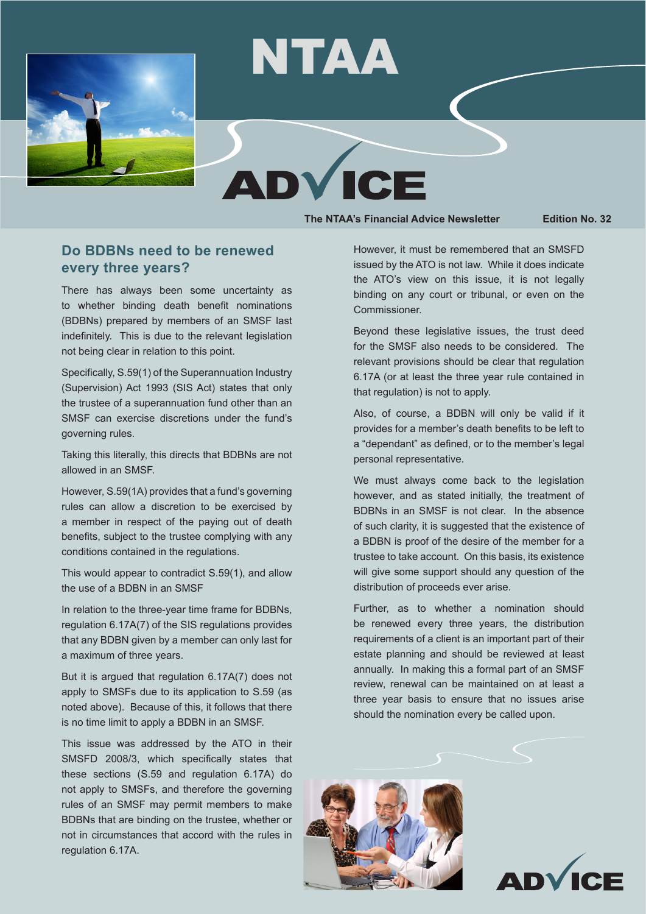

# NTAA

**The NTAA's Financial Advice Newsletter Edition No. 32**

## **Do BDBNs need to be renewed every three years?**

There has always been some uncertainty as to whether binding death benefit nominations (BDBNs) prepared by members of an SMSF last indefinitely. This is due to the relevant legislation not being clear in relation to this point.

Specifically, S.59(1) of the Superannuation Industry (Supervision) Act 1993 (SIS Act) states that only the trustee of a superannuation fund other than an SMSF can exercise discretions under the fund's governing rules.

Taking this literally, this directs that BDBNs are not allowed in an SMSF.

However, S.59(1A) provides that a fund's governing rules can allow a discretion to be exercised by a member in respect of the paying out of death benefits, subject to the trustee complying with any conditions contained in the regulations.

This would appear to contradict S.59(1), and allow the use of a BDBN in an SMSF

In relation to the three-year time frame for BDBNs, regulation 6.17A(7) of the SIS regulations provides that any BDBN given by a member can only last for a maximum of three years.

But it is argued that regulation 6.17A(7) does not apply to SMSFs due to its application to S.59 (as noted above). Because of this, it follows that there is no time limit to apply a BDBN in an SMSF.

This issue was addressed by the ATO in their SMSFD 2008/3, which specifically states that these sections (S.59 and regulation 6.17A) do not apply to SMSFs, and therefore the governing rules of an SMSF may permit members to make BDBNs that are binding on the trustee, whether or not in circumstances that accord with the rules in regulation 6.17A.

However, it must be remembered that an SMSFD issued by the ATO is not law. While it does indicate the ATO's view on this issue, it is not legally binding on any court or tribunal, or even on the Commissioner.

Beyond these legislative issues, the trust deed for the SMSF also needs to be considered. The relevant provisions should be clear that regulation 6.17A (or at least the three year rule contained in that regulation) is not to apply.

Also, of course, a BDBN will only be valid if it provides for a member's death benefits to be left to a "dependant" as defined, or to the member's legal personal representative.

We must always come back to the legislation however, and as stated initially, the treatment of BDBNs in an SMSF is not clear. In the absence of such clarity, it is suggested that the existence of a BDBN is proof of the desire of the member for a trustee to take account. On this basis, its existence will give some support should any question of the distribution of proceeds ever arise.

Further, as to whether a nomination should be renewed every three years, the distribution requirements of a client is an important part of their estate planning and should be reviewed at least annually. In making this a formal part of an SMSF review, renewal can be maintained on at least a three year basis to ensure that no issues arise should the nomination every be called upon.



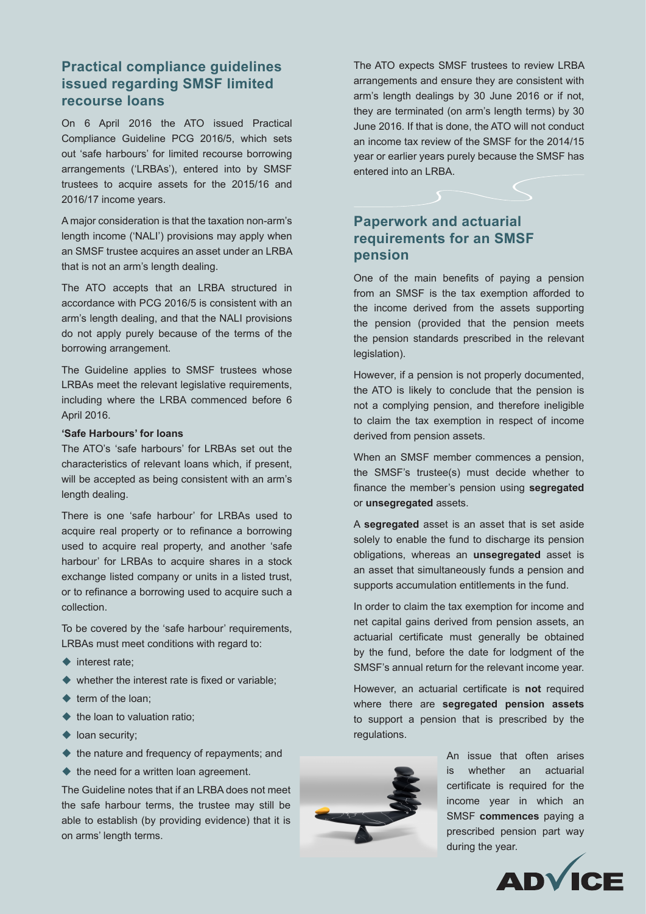## **Practical compliance guidelines issued regarding SMSF limited recourse loans**

On 6 April 2016 the ATO issued Practical Compliance Guideline PCG 2016/5, which sets out 'safe harbours' for limited recourse borrowing arrangements ('LRBAs'), entered into by SMSF trustees to acquire assets for the 2015/16 and 2016/17 income years.

A major consideration is that the taxation non-arm's length income ('NALI') provisions may apply when an SMSF trustee acquires an asset under an LRBA that is not an arm's length dealing.

The ATO accepts that an LRBA structured in accordance with PCG 2016/5 is consistent with an arm's length dealing, and that the NALI provisions do not apply purely because of the terms of the borrowing arrangement.

The Guideline applies to SMSF trustees whose LRBAs meet the relevant legislative requirements, including where the LRBA commenced before 6 April 2016.

#### **'Safe Harbours' for loans**

The ATO's 'safe harbours' for LRBAs set out the characteristics of relevant loans which, if present, will be accepted as being consistent with an arm's length dealing.

There is one 'safe harbour' for LRBAs used to acquire real property or to refinance a borrowing used to acquire real property, and another 'safe harbour' for LRBAs to acquire shares in a stock exchange listed company or units in a listed trust, or to refinance a borrowing used to acquire such a collection.

To be covered by the 'safe harbour' requirements, LRBAs must meet conditions with regard to:

- $\blacklozenge$  interest rate:
- $\blacklozenge$  whether the interest rate is fixed or variable;
- $\triangle$  term of the loan:
- $\blacklozenge$  the loan to valuation ratio;
- $\blacklozenge$  loan security;
- $\blacklozenge$  the nature and frequency of repayments; and
- $\blacklozenge$  the need for a written loan agreement.

The Guideline notes that if an LRBA does not meet the safe harbour terms, the trustee may still be able to establish (by providing evidence) that it is on arms' length terms.

The ATO expects SMSF trustees to review LRBA arrangements and ensure they are consistent with arm's length dealings by 30 June 2016 or if not, they are terminated (on arm's length terms) by 30 June 2016. If that is done, the ATO will not conduct an income tax review of the SMSF for the 2014/15 year or earlier years purely because the SMSF has entered into an LRBA.

# **Paperwork and actuarial requirements for an SMSF pension**

One of the main benefits of paying a pension from an SMSF is the tax exemption afforded to the income derived from the assets supporting the pension (provided that the pension meets the pension standards prescribed in the relevant legislation).

However, if a pension is not properly documented, the ATO is likely to conclude that the pension is not a complying pension, and therefore ineligible to claim the tax exemption in respect of income derived from pension assets.

When an SMSF member commences a pension, the SMSF's trustee(s) must decide whether to finance the member's pension using **segregated** or **unsegregated** assets.

A **segregated** asset is an asset that is set aside solely to enable the fund to discharge its pension obligations, whereas an **unsegregated** asset is an asset that simultaneously funds a pension and supports accumulation entitlements in the fund.

In order to claim the tax exemption for income and net capital gains derived from pension assets, an actuarial certificate must generally be obtained by the fund, before the date for lodgment of the SMSF's annual return for the relevant income year.

However, an actuarial certificate is **not** required where there are **segregated pension assets**  to support a pension that is prescribed by the regulations.



An issue that often arises is whether an actuarial certificate is required for the income year in which an SMSF **commences** paying a prescribed pension part way during the year.